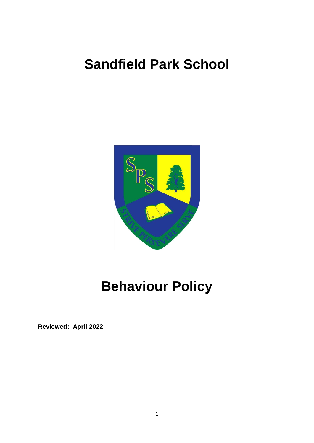## **Sandfield Park School**



# **Behaviour Policy**

**Reviewed: April 2022**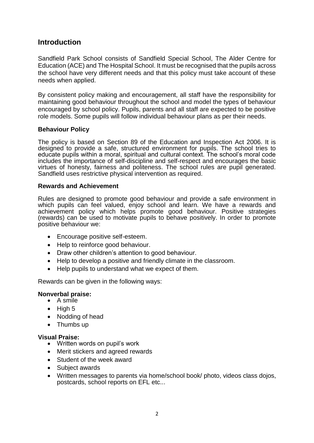### **Introduction**

Sandfield Park School consists of Sandfield Special School, The Alder Centre for Education (ACE) and The Hospital School. It must be recognised that the pupils across the school have very different needs and that this policy must take account of these needs when applied.

By consistent policy making and encouragement, all staff have the responsibility for maintaining good behaviour throughout the school and model the types of behaviour encouraged by school policy. Pupils, parents and all staff are expected to be positive role models. Some pupils will follow individual behaviour plans as per their needs.

#### **Behaviour Policy**

The policy is based on Section 89 of the Education and Inspection Act 2006. It is designed to provide a safe, structured environment for pupils. The school tries to educate pupils within a moral, spiritual and cultural context. The school's moral code includes the importance of self-discipline and self-respect and encourages the basic virtues of honesty, fairness and politeness. The school rules are pupil generated. Sandfield uses restrictive physical intervention as required.

#### **Rewards and Achievement**

Rules are designed to promote good behaviour and provide a safe environment in which pupils can feel valued, enjoy school and learn. We have a rewards and achievement policy which helps promote good behaviour. Positive strategies (rewards) can be used to motivate pupils to behave positively. In order to promote positive behaviour we:

- Encourage positive self-esteem.
- Help to reinforce good behaviour.
- Draw other children's attention to good behaviour.
- Help to develop a positive and friendly climate in the classroom.
- Help pupils to understand what we expect of them.

Rewards can be given in the following ways:

#### **Nonverbal praise:**

- A smile
- $\bullet$  High 5
- Nodding of head
- Thumbs up

#### **Visual Praise:**

- Written words on pupil's work
- Merit stickers and agreed rewards
- Student of the week award
- Subject awards
- Written messages to parents via home/school book/ photo, videos class dojos, postcards, school reports on EFL etc...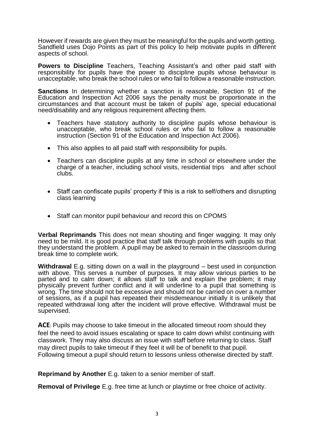However if rewards are given they must be meaningful for the pupils and worth getting. Sandfield uses Dojo Points as part of this policy to help motivate pupils in different aspects of school.

**Powers to Discipline** Teachers, Teaching Assistant's and other paid staff with responsibility for pupils have the power to discipline pupils whose behaviour is unacceptable, who break the school rules or who fail to follow a reasonable instruction.

**Sanctions** In determining whether a sanction is reasonable, Section 91 of the Education and Inspection Act 2006 says the penalty must be proportionate in the circumstances and that account must be taken of pupils' age, special educational need/disability and any religious requirement affecting them.

- Teachers have statutory authority to discipline pupils whose behaviour is unacceptable, who break school rules or who fail to follow a reasonable instruction (Section 91 of the Education and Inspection Act 2006).
- This also applies to all paid staff with responsibility for pupils.
- Teachers can discipline pupils at any time in school or elsewhere under the charge of a teacher, including school visits, residential trips and after school clubs.
- Staff can confiscate pupils' property if this is a risk to self/others and disrupting class learning
- Staff can monitor pupil behaviour and record this on CPOMS

**Verbal Reprimands** This does not mean shouting and finger wagging. It may only need to be mild. It is good practice that staff talk through problems with pupils so that they understand the problem. A pupil may be asked to remain in the classroom during break time to complete work.

**Withdrawal** E.g. sitting down on a wall in the playground – best used in conjunction with above. This serves a number of purposes. It may allow various parties to be parted and to calm down; it allows staff to talk and explain the problem; it may physically prevent further conflict and it will underline to a pupil that something is wrong. The time should not be excessive and should not be carried on over a number of sessions, as if a pupil has repeated their misdemeanour initially it is unlikely that repeated withdrawal long after the incident will prove effective. Withdrawal must be supervised.

**ACE**: Pupils may choose to take timeout in the allocated timeout room should they feel the need to avoid issues escalating or space to calm down whilst continuing with classwork. They may also discuss an issue with staff before returning to class. Staff may direct pupils to take timeout if they feel it will be of benefit to that pupil. Following timeout a pupil should return to lessons unless otherwise directed by staff.

**Reprimand by Another** E.g. taken to a senior member of staff.

**Removal of Privilege** E.g. free time at lunch or playtime or free choice of activity.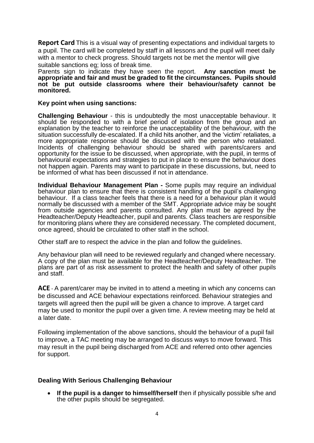**Report Card** This is a visual way of presenting expectations and individual targets to a pupil. The card will be completed by staff in all lessons and the pupil will meet daily with a mentor to check progress. Should targets not be met the mentor will give suitable sanctions eg; loss of break time.

Parents sign to indicate they have seen the report. **Any sanction must be appropriate and fair and must be graded to fit the circumstances. Pupils should not be put outside classrooms where their behaviour/safety cannot be monitored.**

#### **Key point when using sanctions:**

**Challenging Behaviour** - this is undoubtedly the most unacceptable behaviour. It should be responded to with a brief period of isolation from the group and an explanation by the teacher to reinforce the unacceptability of the behaviour, with the situation successfully de-escalated. If a child hits another, and the 'victim' retaliates, a more appropriate response should be discussed with the person who retaliated. Incidents of challenging behaviour should be shared with parents/carers and opportunity for the issue to be discussed, when appropriate, with the pupil, in terms of behavioural expectations and strategies to put in place to ensure the behaviour does not happen again. Parents may want to participate in these discussions, but, need to be informed of what has been discussed if not in attendance.

**Individual Behaviour Management Plan -** Some pupils may require an individual behaviour plan to ensure that there is consistent handling of the pupil's challenging behaviour. If a class teacher feels that there is a need for a behaviour plan it would normally be discussed with a member of the SMT. Appropriate advice may be sought from outside agencies and parents consulted. Any plan must be agreed by the Headteacher/Deputy Headteacher, pupil and parents. Class teachers are responsible for monitoring plans where they are considered necessary. The completed document, once agreed, should be circulated to other staff in the school.

Other staff are to respect the advice in the plan and follow the guidelines.

Any behaviour plan will need to be reviewed regularly and changed where necessary. A copy of the plan must be available for the Headteacher/Deputy Headteacher. The plans are part of as risk assessment to protect the health and safety of other pupils and staff.

**ACE** - A parent/carer may be invited in to attend a meeting in which any concerns can be discussed and ACE behaviour expectations reinforced. Behaviour strategies and targets will agreed then the pupil will be given a chance to improve. A target card may be used to monitor the pupil over a given time. A review meeting may be held at a later date.

Following implementation of the above sanctions, should the behaviour of a pupil fail to improve, a TAC meeting may be arranged to discuss ways to move forward. This may result in the pupil being discharged from ACE and referred onto other agencies for support.

#### **Dealing With Serious Challenging Behaviour**

• If the pupil is a danger to himself/herself then if physically possible s/he and the other pupils should be segregated.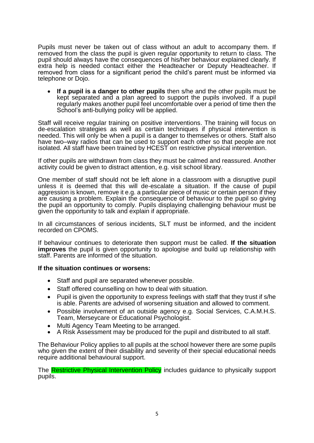Pupils must never be taken out of class without an adult to accompany them. If removed from the class the pupil is given regular opportunity to return to class. The pupil should always have the consequences of his/her behaviour explained clearly. If extra help is needed contact either the Headteacher or Deputy Headteacher. If removed from class for a significant period the child's parent must be informed via telephone or Dojo.

 **If a pupil is a danger to other pupils** then s/he and the other pupils must be kept separated and a plan agreed to support the pupils involved. If a pupil regularly makes another pupil feel uncomfortable over a period of time then the School's anti-bullying policy will be applied.

Staff will receive regular training on positive interventions. The training will focus on de-escalation strategies as well as certain techniques if physical intervention is needed. This will only be when a pupil is a danger to themselves or others. Staff also have two–way radios that can be used to support each other so that people are not isolated. All staff have been trained by HCEST on restrictive physical intervention.

If other pupils are withdrawn from class they must be calmed and reassured. Another activity could be given to distract attention, e.g. visit school library.

One member of staff should not be left alone in a classroom with a disruptive pupil unless it is deemed that this will de-escalate a situation. If the cause of pupil aggression is known, remove it e.g. a particular piece of music or certain person if they are causing a problem. Explain the consequence of behaviour to the pupil so giving the pupil an opportunity to comply. Pupils displaying challenging behaviour must be given the opportunity to talk and explain if appropriate.

In all circumstances of serious incidents, SLT must be informed, and the incident recorded on CPOMS.

If behaviour continues to deteriorate then support must be called. **If the situation improves** the pupil is given opportunity to apologise and build up relationship with staff. Parents are informed of the situation.

#### **If the situation continues or worsens:**

- Staff and pupil are separated whenever possible.
- Staff offered counselling on how to deal with situation.
- Pupil is given the opportunity to express feelings with staff that they trust if s/he is able. Parents are advised of worsening situation and allowed to comment.
- Possible involvement of an outside agency e.g. Social Services, C.A.M.H.S. Team, Merseycare or Educational Psychologist.
- Multi Agency Team Meeting to be arranged.
- A Risk Assessment may be produced for the pupil and distributed to all staff.

The Behaviour Policy applies to all pupils at the school however there are some pupils who given the extent of their disability and severity of their special educational needs require additional behavioural support.

The Restrictive Physical Intervention Policy includes guidance to physically support pupils.